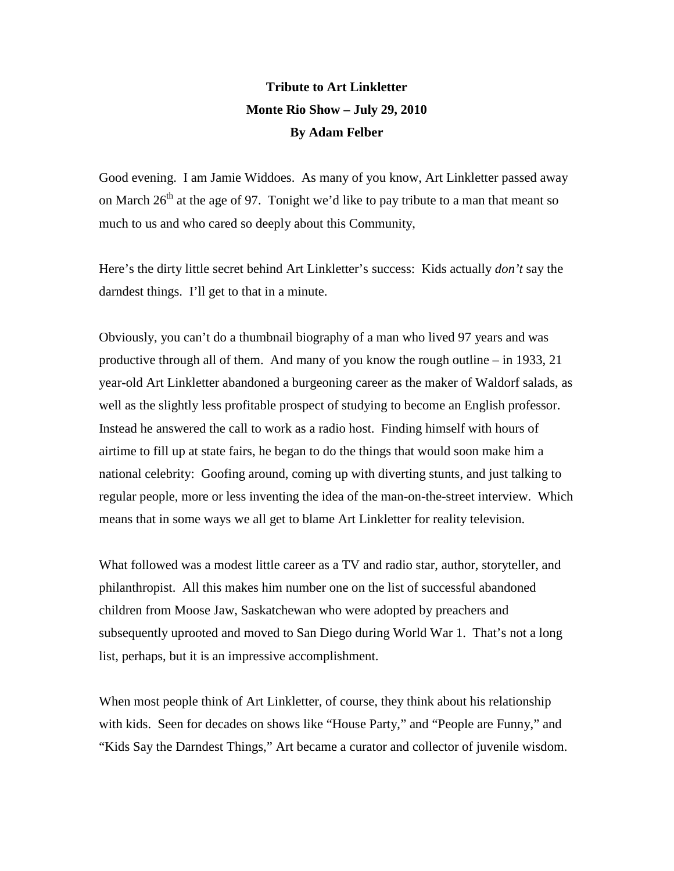## **Tribute to Art Linkletter Monte Rio Show – July 29, 2010 By Adam Felber**

Good evening. I am Jamie Widdoes. As many of you know, Art Linkletter passed away on March  $26<sup>th</sup>$  at the age of 97. Tonight we'd like to pay tribute to a man that meant so much to us and who cared so deeply about this Community,

Here's the dirty little secret behind Art Linkletter's success: Kids actually *don't* say the darndest things. I'll get to that in a minute.

Obviously, you can't do a thumbnail biography of a man who lived 97 years and was productive through all of them. And many of you know the rough outline – in 1933, 21 year-old Art Linkletter abandoned a burgeoning career as the maker of Waldorf salads, as well as the slightly less profitable prospect of studying to become an English professor. Instead he answered the call to work as a radio host. Finding himself with hours of airtime to fill up at state fairs, he began to do the things that would soon make him a national celebrity: Goofing around, coming up with diverting stunts, and just talking to regular people, more or less inventing the idea of the man-on-the-street interview. Which means that in some ways we all get to blame Art Linkletter for reality television.

What followed was a modest little career as a TV and radio star, author, storyteller, and philanthropist. All this makes him number one on the list of successful abandoned children from Moose Jaw, Saskatchewan who were adopted by preachers and subsequently uprooted and moved to San Diego during World War 1. That's not a long list, perhaps, but it is an impressive accomplishment.

When most people think of Art Linkletter, of course, they think about his relationship with kids. Seen for decades on shows like "House Party," and "People are Funny," and "Kids Say the Darndest Things," Art became a curator and collector of juvenile wisdom.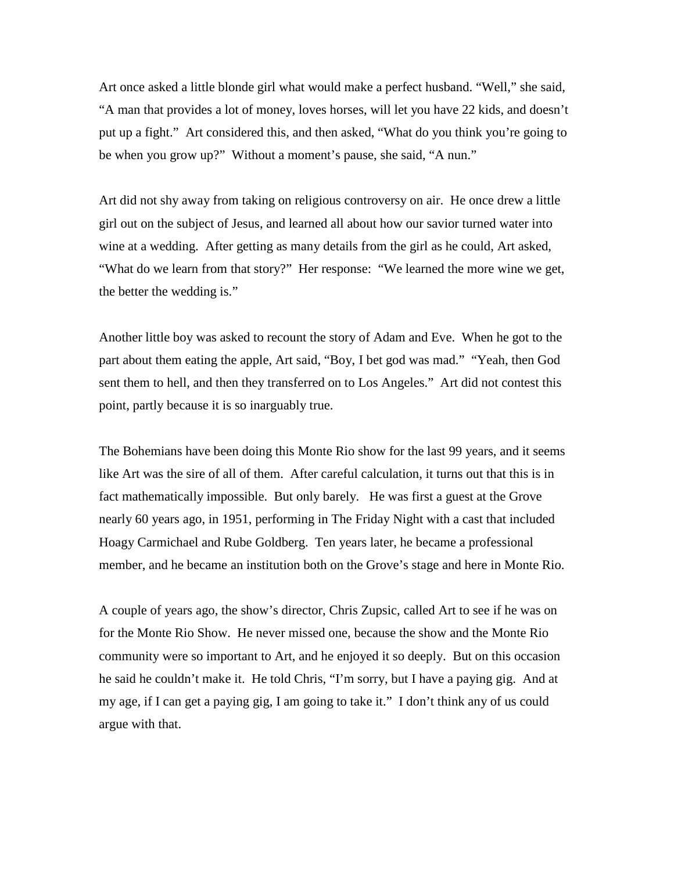Art once asked a little blonde girl what would make a perfect husband. "Well," she said, "A man that provides a lot of money, loves horses, will let you have 22 kids, and doesn't put up a fight." Art considered this, and then asked, "What do you think you're going to be when you grow up?" Without a moment's pause, she said, "A nun."

Art did not shy away from taking on religious controversy on air. He once drew a little girl out on the subject of Jesus, and learned all about how our savior turned water into wine at a wedding. After getting as many details from the girl as he could, Art asked, "What do we learn from that story?" Her response: "We learned the more wine we get, the better the wedding is."

Another little boy was asked to recount the story of Adam and Eve. When he got to the part about them eating the apple, Art said, "Boy, I bet god was mad." "Yeah, then God sent them to hell, and then they transferred on to Los Angeles." Art did not contest this point, partly because it is so inarguably true.

The Bohemians have been doing this Monte Rio show for the last 99 years, and it seems like Art was the sire of all of them. After careful calculation, it turns out that this is in fact mathematically impossible. But only barely. He was first a guest at the Grove nearly 60 years ago, in 1951, performing in The Friday Night with a cast that included Hoagy Carmichael and Rube Goldberg. Ten years later, he became a professional member, and he became an institution both on the Grove's stage and here in Monte Rio.

A couple of years ago, the show's director, Chris Zupsic, called Art to see if he was on for the Monte Rio Show. He never missed one, because the show and the Monte Rio community were so important to Art, and he enjoyed it so deeply. But on this occasion he said he couldn't make it. He told Chris, "I'm sorry, but I have a paying gig. And at my age, if I can get a paying gig, I am going to take it." I don't think any of us could argue with that.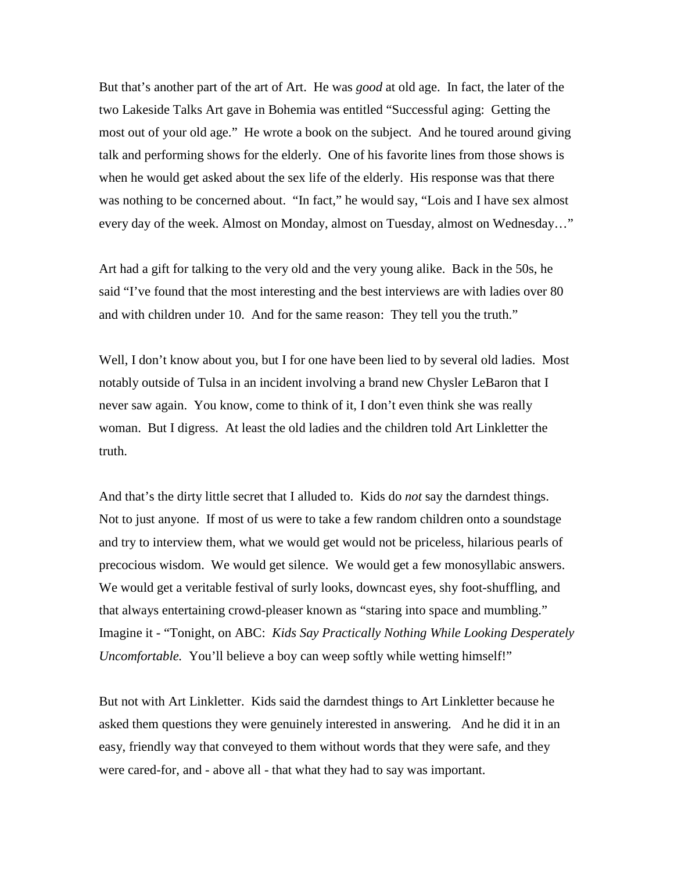But that's another part of the art of Art. He was *good* at old age. In fact, the later of the two Lakeside Talks Art gave in Bohemia was entitled "Successful aging: Getting the most out of your old age." He wrote a book on the subject. And he toured around giving talk and performing shows for the elderly. One of his favorite lines from those shows is when he would get asked about the sex life of the elderly. His response was that there was nothing to be concerned about. "In fact," he would say, "Lois and I have sex almost every day of the week. Almost on Monday, almost on Tuesday, almost on Wednesday…"

Art had a gift for talking to the very old and the very young alike. Back in the 50s, he said "I've found that the most interesting and the best interviews are with ladies over 80 and with children under 10. And for the same reason: They tell you the truth."

Well, I don't know about you, but I for one have been lied to by several old ladies. Most notably outside of Tulsa in an incident involving a brand new Chysler LeBaron that I never saw again. You know, come to think of it, I don't even think she was really woman. But I digress. At least the old ladies and the children told Art Linkletter the truth.

And that's the dirty little secret that I alluded to. Kids do *not* say the darndest things. Not to just anyone. If most of us were to take a few random children onto a soundstage and try to interview them, what we would get would not be priceless, hilarious pearls of precocious wisdom. We would get silence. We would get a few monosyllabic answers. We would get a veritable festival of surly looks, downcast eyes, shy foot-shuffling, and that always entertaining crowd-pleaser known as "staring into space and mumbling." Imagine it - "Tonight, on ABC: *Kids Say Practically Nothing While Looking Desperately Uncomfortable.* You'll believe a boy can weep softly while wetting himself!"

But not with Art Linkletter. Kids said the darndest things to Art Linkletter because he asked them questions they were genuinely interested in answering. And he did it in an easy, friendly way that conveyed to them without words that they were safe, and they were cared-for, and - above all - that what they had to say was important.